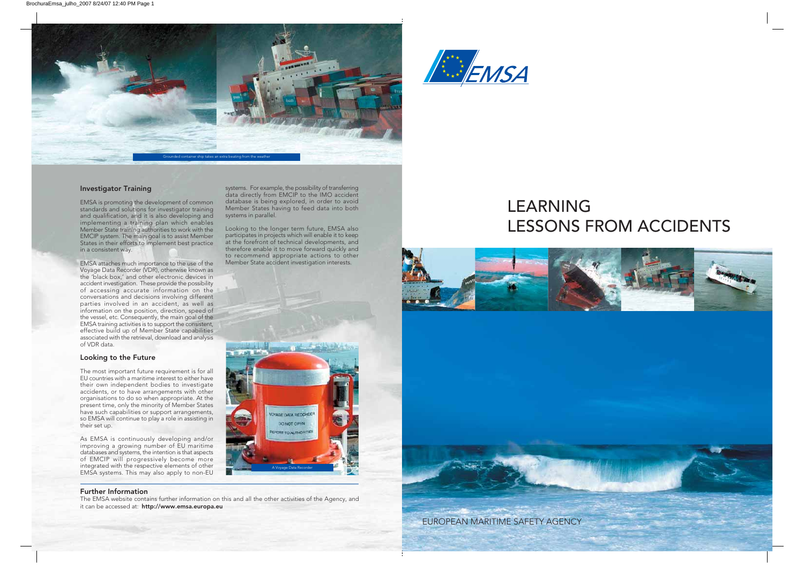

### Investigator Training

EMSA is promoting the development of common standards and solutions for investigator training and qualification, and it is also developing and implementing a training plan which enables Member State training authorities to work with the EMCIP system. The main goal is to assist Member States in their efforts to implement best practice in a consistent way.

EMSA attaches much importance to the use of the Voyage Data Recorder (VDR), otherwise known as the 'black box,' and other electronic devices in accident investigation. These provide the possibility of accessing accurate information on the conversations and decisions involving different parties involved in an accident, as well as information on the position, direction, speed of the vessel, etc. Consequently, the main goal of the EMSA training activities is to support the consistent, effective build up of Member State capabilities associated with the retrieval, download and analysis of VDR data.

### Looking to the Future

The most important future requirement is for all EU countries with a maritime interest to either have their own independent bodies to investigate accidents, or to have arrangements with other organisations to do so when appropriate. At the present time, only the minority of Member States have such capabilities or support arrangements, so EMSA will continue to play a role in assisting in their set up.

As EMSA is continuously developing and/or improving a growing number of EU maritime databases and systems, the intention is that aspects of EMCIP will progressively become more integrated with the respective elements of other EMSA systems. This may also apply to non-EU

#### Further Information

The EMSA website contains further information on this and all the other activities of the Agency, and it can be accessed at: http://www.emsa.europa.eu

systems. For example, the possibility of transferring data directly from EMCIP to the IMO accident database is being explored, in order to avoid Member States having to feed data into both systems in parallel.

Looking to the longer term future, EMSA also participates in projects which will enable it to keep at the forefront of technical developments, and therefore enable it to move forward quickly and to recommend appropriate actions to other Member State accident investigation interests.







EUROPEAN MARITIME SAFETY AGENCY

**EMSA**